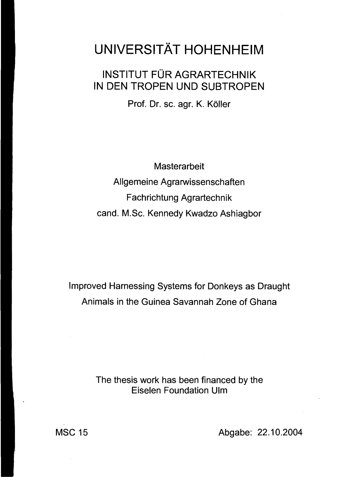## UNIVERSITÄT HOHENHEIM

## INSTITUT FÜR AGRARTECHNIK IN DEN TROPEN UND SUBTROPEN

Prof. Dr. sc. agr. K. Köller

**Masterarbeit** Allgemeine Agrarwissenschaften Fachrichtung Agrartechnik cand. M.Sc. Kennedy Kwadzo Ashiagbor

Improved Harnessing Systems for Donkeys as Draught Animals in the Guinea Savannah Zone of Ghana

> The thesis work has been financed by the Eiselen Foundation Ulm

MSC 15 Abgabe: 22.10.2004